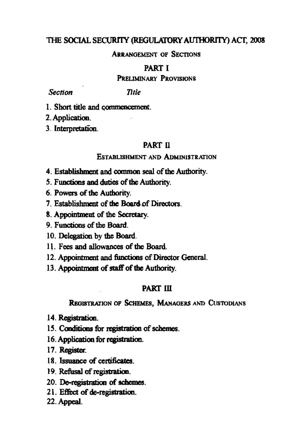# **THE SOCIAL SECURITY (REGULATORY AUTHORITY) ACT, 2008**

# **ARRANGEMENT OF SECTIONS**

# **PART I**<br>**PRELIMINARY PROVISIONS**

**Section** *Section Title* 

**Title** 

**1. Short title and commencement.** 

**2. Application. 3. Interpretation** 

# **PART** n

#### **ESTABLISHMENT AND ADMINISTRATION**

- **4. Establishment and common seal of the Authority.**
- **5. Functions and duties of the Authority.**
- **6. Powers of the Authority.**
- **7. Establishment of the Board of Directors.**
- **8. Appointment of tine Secretary.**
- **9. Functions of the Board.**
- **10. Delegation by the Board.**
- **It. Fees and allowances of the Board.**
- **12. Appointment and functions of Director General.**
- 13. Appointment of staff of the Authority.

# **PART III**

# **REGISTRATION OF SCHEMES, MANAGERS AND CUSTODIANS**

- **14. Registration.**
- **15. Conditions for registration of schemes.**
- **16. Application for registration.**
- **17. Register.**
- **18. Issuance of certificates.**
- **19. Refusal of registration.**
- **20. De-registration of schemes.**
- **21. Effect of de-registration.**
- **22. Appeal.**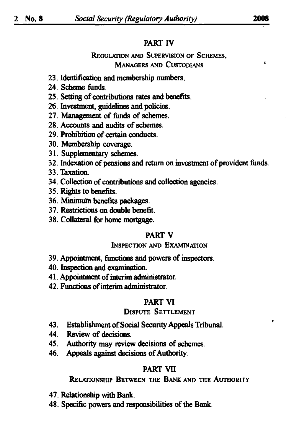# **PART** rv

# **REGULATION AND SUPERVISION OF SCHEMES, MANAGERS AND CUSTODIANS '**

- **23. Identification and membership numbers.**
- **24. Scheme funds.**
- **25. Setting of contributions rates and benefits.**
- **26. Investment, guidelines and policies.**
- **27. Management of funds of schemes.**
- **28. Accounts and audits of schemes.**
- **29. Prohibition of certain conducts.**
- **30. Membership coverage.**
- **31. Supplementary schemes.**
- **32. Indexation of pensions and return on investment of provident funds.**
- **33. Taxation.**
- **34. Collection of coritributioris and collection agencies.**
- **35. Rights to benefits.**
- **36. Mmirnum benefits packages.**
- **37. Restrictions on double benefit.**
- **38. Collateral for home mortgage.**

# **PART V**

# **INSPECTION AND EXAMINATION**

- **39. Appointment, functions and powers of inspectors.**
- **40. Inspection and examination.**
- **41. Appointment of interim adnunistrator.**
- **42. Functions of interim adnunistrator.**

# **PART VI**

# **DISPUTE SETTLEMENT**

- **43. Establishment of Social Security Appeals Tribunal.**
- **44. Review of decisions.**
- **45. Authority may review decisions of schemes.**
- **46. Appeals against decisions of Authority.**

# **PART VII**

# **RELATIONSHIP BETWEEN THE BANK AND THE AUTHORITY**

- **47. Relationship with Bank.**
- **48. Specific powers and responsibihties of the Bank.**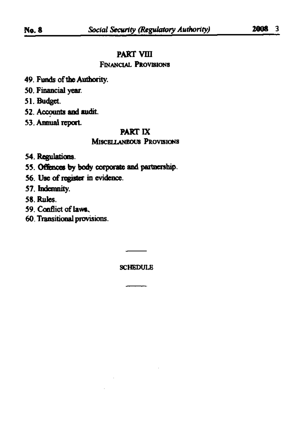# **PART VIII**

# **FINANCIAL PROVISIONS**

- **49. Funds of the Authority.**
- **50. Financial year.**
- **51. Budget.**
- **52. Accounts and audit.**
- **53. Annual report**

#### **PART IX**

# **MISCELLANEOUS PROVISIONS**

- **54. Regulations.**
- **55. Offences by body corporate and partnership.**
- **56. Use of register in evidence.**
- **57. Indemnity.**
- **58. Rules.**
- **59. Conflict of laws.**
- **60. Transitional provisions.**

**SCHEDULE**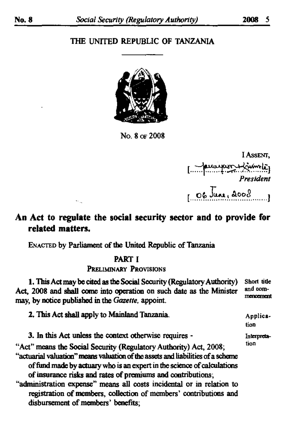# **THE UNITED REPUBLIC OF TANZANIA**



No. 8 or 2008

I Assent. [ January Lime] President  $106$ June, 2008

# **An Act to regulate the social security sector and to provide for related matters.**

**ENACTED** by Parliament of the United Republic of Tanzania

 $\sim$  .

# **PART I PRELIMINARY PROVISIONS**

**1. This Act may be cited as the Social Security (Regulatory Authority)** Short tide **Act,** 2008 **and shall come into operation on such date as the Minister an d cora" may, by notice published in the** *Gazette,* **appoint.** 

**"Act" means the Social Security (Regulatory Authority) Act,** 2008; **"actuarial valuation" means valuation of the assets and liabilities of a scheme of fund made by actuary who is an expert in the science of calculations of insurance risks and rates of premiums and contributions; ''administration expense" means all costs incidental or in relation to 2. This Act shall apply to Mainland Tanzania.** Application Interpretation **3. In this Act unless the context otherwise requires -**

**registration of members, collection of members' contributions and disbursement of members' benefits;**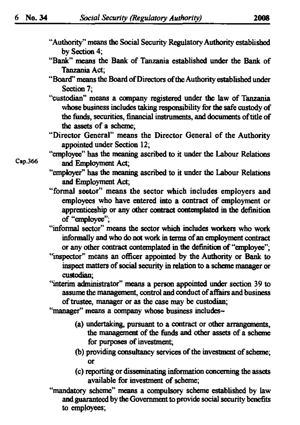- **"Authority" means the Social Security Regulatory Authority established by Section 4;**
- **"Bank" means the Bank of Tanzania established under the Bank of Tanzania Act;**
- **"Board" means the Board of Directors ofthe Authority established under Section 7;**
- **"custodian" means a company registered under the law of Tanzania whose business includes taking responsibility for the safe custody of the funds, securities, financial instruments, and documents of title of the assets of a scheme;**
- **"Director General" means the Director General of the Authority appointed under Section 12 ;**
- **"employee" has the meaning ascribed to it under the Labour Relations**  Cap.366 ^ **Employment Act;** 
	- **"employer" has the meaning ascribed to it under the Labour Relations and Employment Act;**
	- **"formal sector" means the sector which includes employers and employees who have entered into a contract of employment or apprenticeship or any other contract contemplated in the definition of "employee";**
	- **"informal sector" means the sector which includes workers who work informally and who do not work in terms of an employment contract or any other contract contemplated in the definition of "employee";**
	- **"inspector" means an officer appointed by the Authority or Bank to inspect matters of social security in relation to a scheme manager or custodian;**
	- **"interim administrator" means a person appointed under section** 39 **to assume the management, control and conduct of affairs and business of trustee, manager or as the case may be custodian;**
	- **"manager" means a company whose business includes-**
		- **(a) undertaking, pursuant to a contract or other arrangements, the management of the funds and other assets of a scheme for purposes of investment;**
		- **(b) providing consultancy services ofthe investment of scheme; or**
		- **(c) reporting or disseminating information concerning the assets available for investment of scheme;**
	- **"mandatory scheme" means a compulsory scheme established by law and guaranteed by the Government to provide social security benefits to employees;**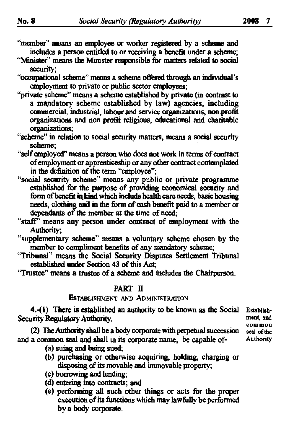- **"member" means an employee or worker registered by a scheme and includes a person entitled to or receiving a benefit under a scheme;**
- **"Minister'' means the Minister responsible for matters related to social security;**
- **"occupational scheme" means a scheme offered through an individual's employment to private or public sector employees;**
- **"private scheme" means a scheme established by private (in contrast to a mandatory scheme established by law) agencies, including commercial, industrial, labour and service organizations, noo profit organizations and non profit religious, educational and charitable organizations;**
- **"scheme" in relation to social security matters, means a social security scheme;**
- **"self employed" means a person who does not work in terms of contract of employment or apprenticeship or any other contract contemplated in the definition of the term "employee";**
- **"social security scheme" means any public or private programme established for the purpose of providing economical security and form of benefit in kind which include health care needs, basic housing needs, clothing and in the form of cash benefit paid to a member or dependants of the member at the time of need;**
- **"staff" means any person under contract of employment with the Authority;**
- **"supplementary scheme" means a voluntary scheme chosen by the member to cornpliment benefits of any mandatory scheme;**
- **"Tribunal" means the Social Security Disputes Settlement Tribunal established under Section** 43 **of mis Act;**
- **"Trustee" means a trustee of a scheme and includes the Chairperson.**

# **PART II**

# **ESTABLISHMENT AND ADMINISTRATION**

**4.-(l) There is established an authority to be known as the Social Estabiish-Security Regulatory Authority. example 3** ment, and **ment** 

**(2) The Authority shall be a body corporate with perpetual succession seal ofthe**  and a common seal and shall in its corporate name, be capable of-

- **(a) suing and being sued;**
- **(b) purchasing or otherwise acquiring, holding, charging or disposing of its movable and immovable property;**
- **(c) borrowing and lending;**
- **(d) entering into contracts; and**
- **(e) perfoiming all such other things or acts for the proper execution of its functions which may lawfully be performed by a body corporate.**

**common**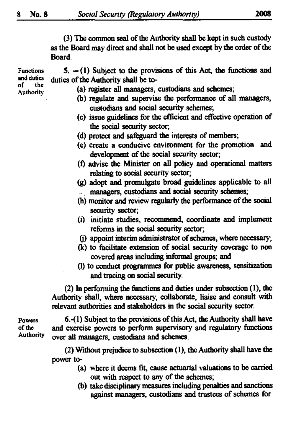**(3) The common seal of the Authority shall be kept in such custody as the Board may direct and shall not be used except by the order of die Board.** 

**Functions and duties 5. —(1) Subject to the provisions of this Act, the functions and duties of the Authority shall be to-**

**of the Authority** 

- **te) register all managers, custodians and schemes;**
- **(b) regulate and supervise the performance of all managers, custodians and social security schemes;**
- **(c) issue guidelines for the efficient and effective operation of the social security sector;**
- **(d) protect and safeguard the interests of members;**
- **(e) create a conducive environment for the promotion and development of the social security sector;**
- **(f) advise the Minister on all policy and operational matters relating to social security sector;**
- **(g) adopt and promulgate broad guidelines applicable to all - \_ managers, custodians and social security schemes;**
- **(h) monitor and review regularly the performance of die social security sector;**
- **(i) initiate studies, recommend, coordinate and implement reforms in the social security sector;**
- **(j) appoint interim administrator of schemes, where necessary;**
- **(k) to facilitate extension of social security coverage to non covered areas including informal groups; and**
- (1) **to conduct programmes for public awareness, sensitization and tracing on social security.**

(2) **In perforating the functions and duties under subsection (**1), **the Authority shall, where necessary, collaborate, liaise and consult with relevant authorities and stakeholders in the social security sector.** 

**Authority ove <sup>r</sup>**

**Powers 6.-(l) Subject to the provisions of this Act, the Authority shall have ofthe and exercise powers to perform supervisory and regulatory functions**  over all managers, custodians and schemes.

> (2) **Without prejudice to subsection** (1), **the Authority shall have the power to-**

- **te) where it deems fit, cause actuarial valuations to be carried out with respect to any of the schemes;**
- **(b) take disciplinary measures including penalties and sanctions against managers, custodians and trustees of schemes for**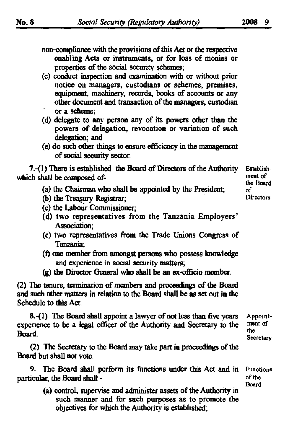**non-compliance with the provisions of this Act or the respective enabling Acts or instruments, or for loss of monies or** 

properties of the social security schemes;

- **(c) conduct inspection and examination with or without prior notice on managers, custodians or schemes, premises, equipment, machinery, records, books of accounts or any other document and transaction of the managers, custodian or a scheme;**
- **(d) delegate to any person any of its powers other than the powers of delegation, revocation or variation of such delegation; and**
- **(e) do such other things to ensure efficiency in the management of social security sector.**

**7.-(l) There is established the Board of Directors of the Authority which shall be composed of-**

- **(a) the Chairman who shall be appointed by the President;**
- **(b) the Treasury Registrar;**
- **(c) the Labour Commissioner;**
- **(d) two representatives from the Tanzania Employers' Association;**
- **(e) two representatives from the Trade Unions Congress of Tanzania;**
- **(f) one member from amongst persons who possess knowledge and experience in social security matters;**
- **(g) the Director General who shall be an ex-officio member.**

(2) **The tenure, termination of members and proceedings of the Board and such other matters in relation to the Board shall be as set out in the Schedule to this Act.** 

**8.-(1)** The Board shall appoint a lawyer of not less than five years **experience to be a legal officer of the Authority and Secretary to the Board. Appointment of the Secretary** 

(2) **The Secretary to the Board may take part in proceedings of the Board but shall not vote.** 

**9. The Board shall perform its functions under this Act and in particular, the Board shall -**

- **Functions ofthe Board**
- **(a) control, supervise and administer assets of the Authority in such manner and for such purposes as to promote the objectives for which the Authority is established;**

**Establishment of the Board of Directors**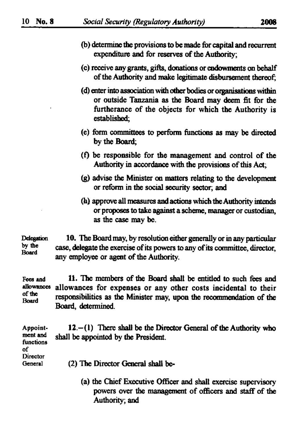- **(b) determine the provisions to be made for capital and recurrent expenditure and for reserves of the Authority;**
- **(c) receive any grants, gifts, donations or endowments on behalf of the Authority and make legitimate disbursement thereof;**
- **(d) enter into association with other bodies or organisations within or outside Tanzania as the Board may deem fit for the furtherance of the objects for which the Authority is established;**
- **(e) form committees to perform functions as may be directed by the Board;**
- **(f) be responsible for the management and control of the Authority in accordance with the provisions of this Act;**
- **(g) advise the Minister on matters relating to the development or reform in die social security sector, and**
- **(h) approve all measures and actions which the Authority intends or proposes to take against a scheme, manager or custodian, as the case may be.**

**Delegation 10. The Board may, by resolution either generally or in any particular by the** case delegate the exercise of its normal to any of its normalities, dimeter **case, delegate the exercise of its powers to any of its committee, director, Board any employee or agent of the Authority.** 

**Fees and 11. The members of the Board shall be entitled to such fees and allowances allowances for expenses or any other costs incidental to their responsibilities as the Minister may, upon the recommendation of the Board Board, determined.** 

| Appoint-        | $12 - (1)$ There shall be the Director General of the Authority who |
|-----------------|---------------------------------------------------------------------|
| ment and        | shall be appointed by the President.                                |
| functions<br>of |                                                                     |
| Director        |                                                                     |
| General         | (2) The Director General shall be-                                  |
|                 |                                                                     |

**ta) the Chief Executive Officer and shall exercise supervisory powers over the management of officers and staff of the Authority; and**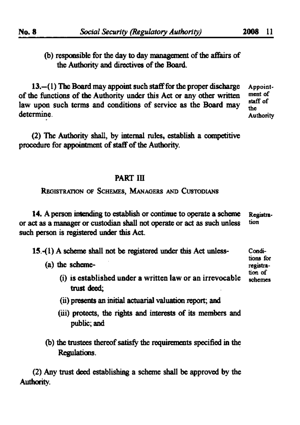**Conditions for registra-**

# **(b) responsible for the day to day management of the affairs of the Authority and directives of the Board.**

**13.—(1) The Board may appoint such staff for the proper discharge Appointof the functions of the Authority under this Act or any other written ment** of law upon such terms and conditions of service as the Board may  $\frac{stat}{the}$  $\mathbf{a}$  $\mathbf{f}$   $\mathbf{f}$ **determine. Authority** 

**(2) The Authority shall, by internal rules, establish a competitive procedure for appomtrnent of staff of the Authority.** 

# PART III

**REGISTRATION OF SCHEMES, MANAGERS AND CUSTODIANS** 

**14. A person intending to establish or continue to operate a scheme Registraor act as a manager or custodian shall not operate or act as such unless tion such person is registered under this Act.** 

**15.-(1) A scheme shall not be registered under this Act unless-**

**(a) the scheme-**

- **(i) is established under a written law or an irrevocable scheme <sup>s</sup> trust deed; tion o f**
- **(ii) presents an initial actuarial valuation report; and**
- **(iii) protects, the rights and interests of its members and public; and**
- **(b) the trustees thereof satisfy the requirements specified in the Regulations.**

**(2) Any trust deed establishing a scheme shall be approved by the Authority.**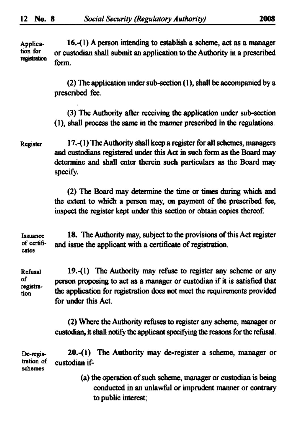Application for registration **16.-(1) A person intending to establish a scheme, act as a manager or custodian shall submit an application to the Authority in a prescribed form.** 

> **(2) The application under sub-section (1), shall be accompanied by a prescribed fee.**

> **(3) The Authority after receiving the application under sub-section (1), shall process the same in the manner prescribed in the regulations.**

Register **17. -(1) The Authority shall keep a register for all schemes, managers and custodians registered under this Act in such form as the Board may**  determine and shall enter therein such particulars as the Board may **specify.** 

> **(2) The Board may determine the time or times during which and the extent to which a person may, on payment of the prescribed fee, inspect the register kept under this section or obtain copies thereof.**

Issuance of certificates **18. The Authority may, subject to the provisions of this Act register and issue the applicant with a certificate of registration.** 

Refusal of registration **19.-(1) The Authority may refuse to register any scheme or any person proposing to act as a manager or custodian if it is satisfied that the application for registration does not meet the requirements provided for under this Act.** 

> **(2) Where the Authority refuses to register any scheme, manager or custodian, it shall notify the applicant specifying the reasons for the refusal.**

De-registration of schemes **20.-(l) The Authority may de-register a scheme, manager or**  custodian if-

> **(a) the operation of such scheme, manager or custodian is being conducted in an unlawful or imprudent manner or contrary to public interest;**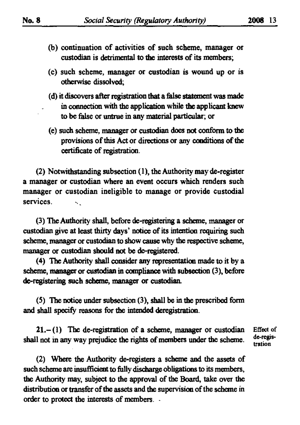- **(b) continuation of activities of such scheme, manager or custodian is detrimental to the interests of its members;**
- **(c) such scheme, manager or custodian is wound up or is otherwise dissolved;**
- **(d) it discovers after registration that a false statement was made in connection with the application while the applicant knew to be false or untrue in any material particular; or**
- **(e) such scheme, manager or custodian does not conform to the**  provisions of this Act or directions or any conditions of the **certificate of registration.**

**( 2 ) Notwithstanding subsection (1), the Authority may de-register a manager or custodian where an event occurs which renders such manager or custodian ineligible to manage or provide custodial services.**  s.

**( 3 ) The Authority shall, before de-registering a scheme, manager or custodian give at least thirty days' notice of its intention requiring such scheme, manager or custodian to show cause why the respective scheme, manager or custodian should not be de-registered.** 

**(4) The Authority shall consider any representation made to it by a scheme, manager or custodian in compliance with subsection (3) , before de-registering such scheme, manager or custodian.** 

**( 5 ) The notice under subsection (3) , shall be in the prescribed form and shall specify reasons for the intended deregistration.** 

**21.- (1 ) The de-registration of a scheme, manager or custodian Effect of**  shall not in any way prejudice the rights of members under the scheme. <sup>ac-regi</sup><br>tration

**( 2 ) Where the Authority de-registers a scheme and the assets of such scheme are insufficient to fully discharge obligations to its members, the Authority may, subject to the approval of the Board, take over the distribution or transfer of the assets and the supervision of the scheme in order to protect the interests of members. -**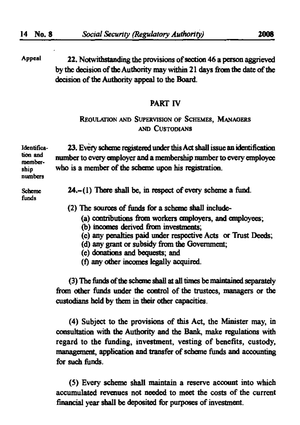**Appeal 22. Notwithstanding the provisions of section 46 a person aggrieved by the decision of the Authority may within 21 days from the date of the decision of the Authority appeal to the Board.** 

#### PART **IV**

# **REGULATION AND SUPERVISION OF SCHEMES, MANAGERS AND CUSTODIANS**

| Identifica-<br>tion and<br>member-<br>ship<br>numbers | 23. Every scheme registered under this Act shall issue an identification<br>number to every employer and a membership number to every employee<br>who is a member of the scheme upon his registration. |
|-------------------------------------------------------|--------------------------------------------------------------------------------------------------------------------------------------------------------------------------------------------------------|
| <b>Scheme</b><br>funds                                | $24 - (1)$ There shall be, in respect of every scheme a fund.                                                                                                                                          |
|                                                       | (2) The sources of funds for a scheme shall include-                                                                                                                                                   |
|                                                       | (a) contributions from workers employers, and employees;<br>(b) incomes derived from investments;                                                                                                      |
|                                                       |                                                                                                                                                                                                        |

- **(c) any penalties paid under respective Acts or Trust Deeds;**
- **(d) any grant or subsidy from the Government;**
- **(e) donations and bequests; and**
- **(f) any other incomes legally acquired.**

**(3) The funds of the scheme shall at all times be maintained separately from other funds under the control of the trustees, managers or the custodians held by them in their other capacities.** 

**(4) Subject to the provisions of this Act, the Minister may, in consultation with the Authority and the Bank, make regulations with regard to the funding, investment, vesting of benefits, custody, management, application and transfer of scheme funds and accounting for such funds.** 

**(5) Every scheme shall maintain a reserve account into which accumulated revenues not needed to meet the costs of the current financial year shall be deposited for purposes of investment.**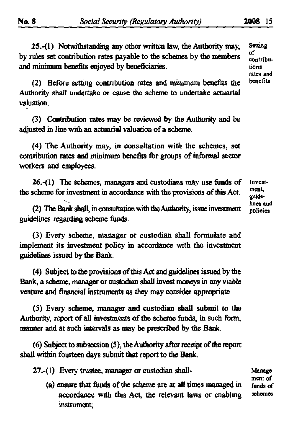**25.-(l) Notwithstanding any other written law, the Authority may, Setting**  by rules set contribution rates payable to the schemes by the members  $\frac{01}{\text{contributions}}$ **and minimum benefits enjoyed by beneficiaries. tions** 

**(2)** Before setting contribution rates and minimum benefits the **Authority shall undertake or cause the scheme to undertake actuarial valuation.** 

**(3) Contribution rates may be reviewed by the Authority and be adjusted in line with an actuarial valuation of a scheme.** 

**(4) The Authority may, in consultation with the schemes, set contribution rates and ininimum benefits for groups of informal sector workers and employees.** 

**26,-(1) The schemes, managers and custodians may use funds of the scheme for investment in accordance with the provisions of mis Act.** 

**(2) The Bank shaU\m consultation with theAuthoriry, issue investment guidelines regarding scheme funds.** 

**(3) Every scheme, manager or custodian shall formulate and implement its investment policy in accordance with the investment guidelines issued by the Bank.** 

**(4) Subject to the provisions of this Act and guidelines issued by the Bank, a scheme, manager or custodian shall invest moneys in any viable venture and financial instruments as they may consider appropriate.** 

**(5) Every scheme, manager and custodian shall submit to the Authority, report of all investments of the scheme funds, in such form, manner and at such intervals as may be prescribed by the Bank.** 

**(6) Subject to subsection (5), the Authority after receipt of the report shall within fourteen days submit that report to the Bank.** 

**27.-(l) Every trustee, manager or custodian shall-**

**funds of schemes (a) ensure that funds of the scheme are at all times managed in accordance with this Act, the relevant laws or enabling instrument;** 

**Investment guidelines and policies** 

**Management of** 

**rates and " 18**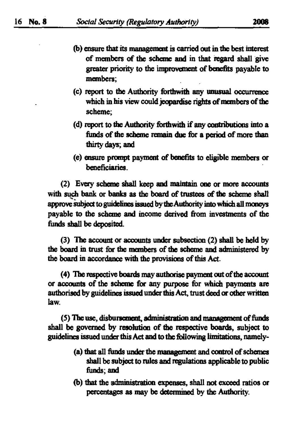- **(b) ensure that its management is carried out in the best interest of members of the scheme and in that regard shall give greater priority to the improvement of benefits payable to members;**
- **(c) report to the Authority forthwith any unusual occurrence which in his view could jeopardise rights of members of the scheme;**
- **(d) report to the Authority forthwith if any contributions into a funds of the scheme remain due for a period of more than thirty days; and**
- **(e) ensure prompt payment of benefits to eligible members or beneficiaries.**

(2) **Every scheme shall keep and maintain one or more accounts with such bank or banks as the board of trustees of the scheme shall**  approve subject to guidelines issued by the Authority into which all moneys **payable to the scheme and income derived from investments of the funds shall be deposited.** 

(3) **The account or accounts under subsection** (2) **shall be held by**  the board in trust for the members of the scheme and administered by **the board in accordance with the provisions of this Act.** 

**(4) The respective boards may authorise payment out of the account or accounts of the scheme for any purpose for which payments are authorised by guidelines issued under this Act, trust deed or other written law.** 

**(5) The use, disbursement, administration and management of funds shall be governed by resolution of the respective boards, subject to guidelines issued under this Act and to the following limitations, namely-**

- **(a) that all funds under the management and control of schemes shall be subject to rules and regulations applicable to public funds; and**
- **(b) that the adrninistration expenses, shall not exceed ratios or percentages as may be determined by the Authority.**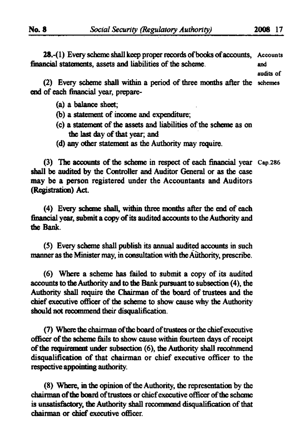**28,-(l) Every scheme shall keep proper records of books of accounts, financial statements, assets and liabilities of the scheme.**  and

andits of

**(2) Every scheme shall within a period of three months after the end of each financial year, prepare-**

- **(a) a balance sheet;**
- **(b) a statement of income and expenditure;**
- **(c) a statement of the assets and liabilities ofthe scheme as on the last day of that year; and**
- **(d) any other statement as the Authority may require.**

**(3)** The accounts of the scheme in respect of each financial year Cap.286 **shall be audited by the Controller and Auditor General or as the case may be a person registered under the Accountants and Auditors (Registration) Act.** 

**(4) Every scheme shall, within three months after the end of each financial year, submit a copy of its audited accounts to the Authority and die Bank.** 

**(5) Every scheme shall publish its annual audited accounts in such**  manner as the Minister may, in consultation with the Authority, prescribe.

**(6) Where a scheme has failed to submit a copy of its audited accounts to die Authority and to the Bank pursuant to subsection (4), the**  Authority shall require the Chairman of the board of trustees and the **chief executive officer of die scheme to show cause why the Authority should not recommend their disqualification** 

**(7) Where the chairman of the board of trustees or the chief executive**  officer of the scheme fails to show cause within fourteen days of receipt **ofthe requirement under subsection (6), the Authority shall recommend disqualification of that chairman or chief executive officer to the respective appointing authority.** 

**(8) Where, in the opinion of the Authority, the representation by the chairman of the board of trustees or chief executive officer of the scheme is unsatisfactory, the Authority shall recommend disqualification of that chairman or chief executive officer.**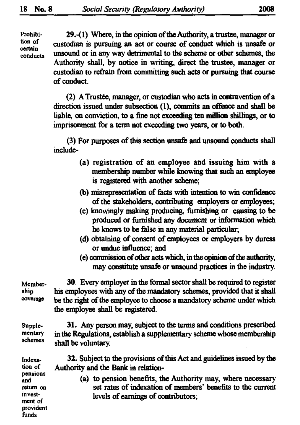**Prohibition of certain conducts** 

> **provident funds**

**29.-(l) Where, in the opinion of the Authority, a trustee, manager or custodian is pursuing an act or course of conduct which is unsafe or unsound or in any way detrimental to the scheme or other schemes, the Authority shall, by notice in writing, direct the trustee, manager or custodian to refrain from comnu'tting such acts or pursuing that course of conduct.** 

(2) **A Trustee, manager, or custodian who acts in contravention of a direction issued under subsection (1), commits an offence and shall be liable, on conviction, to a fine not exceeding ten million shillings, or to imprisonment for a term not exceeding two years, or to both.** 

**(3) For purposes ofthis section unsafe and unsound conducts shall inchide-**

- **(a) registration of an employee and issuing him with a membership number while knowing that such an employee is registered with another scheme;**
- **(b) misrepresentation of facts with intention to win confidence of the stakeholders, contributing employers or employees;**
- **(c) knowingly making producing, furnishing or causing to be produced or furnished any document or information which he knows to be false in any material particular,**
- **(d) obtaining of consent of employees or employers by duress or undue influence; and**
- **(e) commission of other acts which, in the opinion ofthe authority, may constitute unsafe or unsound practices in the industry.**

| Member-<br>ship<br><b>COVErage</b>                                       | 30. Every employer in the formal sector shall be required to register<br>his employees with any of the mandatory schemes, provided that it shall<br>be the right of the employee to choose a mandatory scheme under which<br>the employee shall be registered. |
|--------------------------------------------------------------------------|----------------------------------------------------------------------------------------------------------------------------------------------------------------------------------------------------------------------------------------------------------------|
| Supple-<br>mentary<br>schemes                                            | 31. Any person may, subject to the terms and conditions prescribed<br>in the Regulations, establish a supplementary scheme whose membership<br>shall be voluntary.                                                                                             |
| Indexa-<br>tion of<br>pensions<br>and<br>return on<br>invest-<br>ment of | 32. Subject to the provisions of this Act and guidelines issued by the<br>Authority and the Bank in relation-                                                                                                                                                  |
|                                                                          | (a) to pension benefits, the Authority may, where necessary<br>set rates of indexation of members' benefits to the current<br>levels of earnings of contributors;                                                                                              |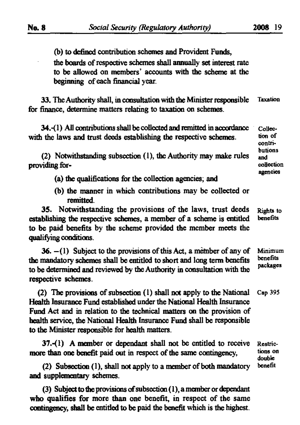**(b) to defined contribution schemes and Provident Funds, the boards of respective schemes shall annually set interest rate to be allowed on members' accounts with the scheme at the beginning of each financial year.** 

**33. The Authority shall, in consultation with the Minister responsible for finance, determine matters relating to taxation on schemes. Taxation** 

| 34.-(1) All contributions shall be collected and remitted in accordance<br>with the laws and trust deeds establishing the respective schemes.<br>(2) Notwithstanding subsection (1), the Authority may make rules<br>providing for-                                                                                                                  | Collec-<br>tion of<br>contri-<br>butions<br>and<br>collection |
|------------------------------------------------------------------------------------------------------------------------------------------------------------------------------------------------------------------------------------------------------------------------------------------------------------------------------------------------------|---------------------------------------------------------------|
| (a) the qualifications for the collection agencies; and                                                                                                                                                                                                                                                                                              | agencies                                                      |
| (b) the manner in which contributions may be collected or<br>remitted.                                                                                                                                                                                                                                                                               |                                                               |
| 35. Notwithstanding the provisions of the laws, trust deeds<br>establishing the respective schemes, a member of a scheme is entitled<br>to be paid benefits by the scheme provided the member meets the<br>qualifying conditions.                                                                                                                    | Rights to<br>benefits                                         |
| 36. $-(1)$ Subject to the provisions of this Act, a member of any of<br>the mandatory schemes shall be entitled to short and long term benefits<br>to be determined and reviewed by the Authority in consultation with the<br>respective schemes.                                                                                                    | Minimum<br>benefits<br>packages                               |
| (2) The provisions of subsection (1) shall not apply to the National<br>Health Insurance Fund established under the National Health Insurance<br>Fund Act and in relation to the technical matters on the provision of<br>health service, the National Health Insurance Fund shall be responsible<br>to the Minister responsible for health matters. | Cap 395                                                       |
| $37-(1)$ A member or dependant shall not be entitled to receive<br>more than one benefit paid out in respect of the same contingency,                                                                                                                                                                                                                | Restric-<br>tions on<br>double                                |
| benefit<br>(2) Subsection (1), shall not apply to a member of both mandatory<br>and supplementary schemes.                                                                                                                                                                                                                                           |                                                               |

**(3) Subject to the provisions of subsection (1), a member or dependant who qualifies for more than one benefit, in respect of the same contingency, shall be entitled to be paid the benefit which is the highest.**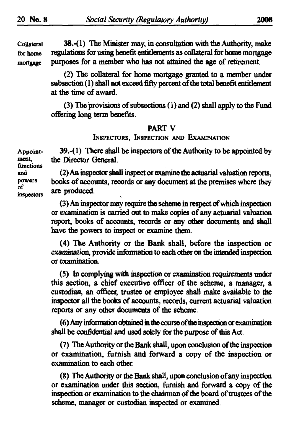**Collateral** 38.-{ **1) The Minister may, in consultation with the Authority, make for home regulations for using benefit entitlements as collateral for home mortgage mortgage purposes for a member who has not attained the age of retirement.** 

> (2) **The collateral for home mortgage granted to a member under**  subsection (1) shall not exceed fifty percent of the total benefit entitlement **at the time of award.**

> (3) **The provisions of subsections** (1) **and** (2) **shall apply to the Fund offering long term benefits.**

#### **PART V**

**INSPECTORS, INSPECTION AND EXAMINATION** 

**Appoint-** 39.**-(1) There shall be inspectors of the Authority to be appointed by ". the Director General,** 

**and** (2) **An inspector shall inspect or examine the actuarial valuation reports, powers books of accounts, records or any document at the premises where they**   $\frac{\text{or}}{\text{insectors}}$  are produced.

> (3) **An inspector may require the scheme in respect of which inspection or examination is carried out to make copies of any actuarial valuation report, books of accounts, records or any other documents and shall have the powers to inspect or examine them.**

> **(4) The Authority or the Bank shall, before the inspection or**  examination, provide information to each other on the intended inspection **or examination.**

> **( 5 ) In complying with inspection or examination requirements under this section, a chief executive officer of the scheme, a manager, a custodian, an officer, trustee or employee shall make available to the inspector all the books of accounts, records, current actuarial valuation reports or any other documents of the scheme.**

> **(6) Any information obtained in the course of the inspection or examination** shall be confidential and used solely for the purpose of this Act.

> **(7) The Authority or the Bank shall, upon conclusion ofthe inspection or examination, furnish and forward a copy of the inspection or examination to each other.**

> **(8) The Authority or the Bank shall, upon conclusion of any inspection or examination under this section, furnish and forward a copy of the**  inspection or examination to the chairman of the board of trustees of the **scheme, manager or custodian inspected or examined.**

 $m$ **e**nt, **functions**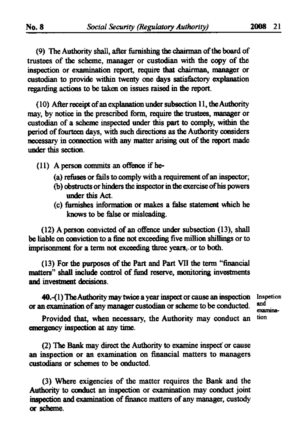**(9) The Authority shall, after funushing the chairman of the board of trustees of the scheme, manager or custodian with the copy of the inspection or examination report, require that chairman, manager or custodian to provide within twenty one days satisfactory explanation regarding actions to be taken on issues raised in the report.** 

**(10) After receipt of an explanation under subsection 11, the Authority may, by notice in the prescribed form, require the trustees, manager or custodian of a scheme inspected under this part to comply, within the period of fourteen days, with such directions as the Authority considers necessary in connection with any matter arising out of the report made under this section.** 

- **(11) A person commits an offence if he**
	- **fa) refuses or fails to comply with a requirement of an inspector;**
	- **(b) obstructs or hinders the inspector in the exercise of his powers under this Act.**
	- **(c) furnishes information or makes a false statement which he knows to be false or misleading.**

**(12) A person convicted of an offence under subsection (13), shall be liable on conviction to a fine not exceeding five million shillings or to imprisonment for a term not exceeding three years. or to both.** 

**(13) For the purposes of the Part and Part VII the term "financial matters" shall include control of fund reserve, monitoring investments and investment decisions.** 

**40.-(l) The Authority may twice a year inspect or cause an inspection inspetion or an exarnination of any manager custodian or scheme to be conducted.**

 **m i examina- [ 'o n** 

**Provided that, when necessary, the Authority may conduct an emergency inspection at any time.** 

**(2) The Bank may direct the Authority to examine inspect' or cause an inspection or an examination on financial matters to managers custodians or schemes to be onducted.** 

**(3) Where exigencies of the matter requires the Bank and the Authority to conduct an inspection or examination may conduct joint inspection and examination of finance matters ofany manager, custody or scheme.**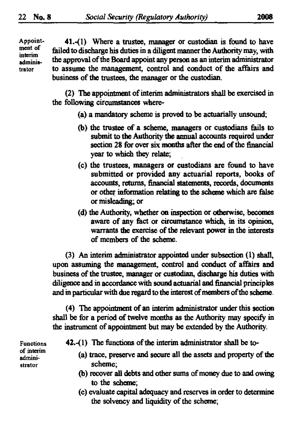**Appointment of interim administrator** 

**41.-(1) Where a trustee, manager or custodian is found to have failed to discharge his duties in a diligent manner the Authority may, with the approval of the Board appoint any person as an interim administrator to assume the management, control and conduct of the affairs and**  business of the trustees, the manager or the custodian.

(2) **The appointment of interim administrators shall be exercised in the following circumstances where-**

- **(a) a mandatory scheme is proved to be actuarially unsound;**
- **(b) the trustee of a scheme, managers or custodians fails to submit to the Authority the annual accounts required under**  section 28 for over six months after the end of the financial **year to which they relate;**
- **(c) the trustees, managers or custodians are found to have submitted or provided any actuarial reports, books of accounts, returns, financial statements, records, documents or other information relating to the scheme which are false or misleading; or**
- **(d) the Authority, whether on inspection or otherwise, becomes aware of any fact or circumstance which, in its opinion, warrants the exercise of the relevant power in the interests of members of the scheme.**

**(3) An interim administrator appointed under subsection (1) shall, upon assuming the management, control and conduct of affairs and business of the trustee, manager or custodian, discharge his duties with diligence and in accordance with sound actuarial and financial principles and in particular with due regard to the interest of members of the scheme** 

(4) The appointment of an interim administrator under this section **shall be for a period of twelve months as the Authority may specify in the instrument of appointment but may be extended by the Authority.** 

**Functions of interim administrator** 

- **42.-(l) The functions ofthe interim administrator shall be to-**
	- **(a) trace, preserve and secure all the assets and property of the scheme;**
	- **(b) recover all debts and other sums of money due to and owing to the scheme;**
	- **(c) evaluate capital adequacy and reserves in order to determine**  the solvency and liquidity of the scheme;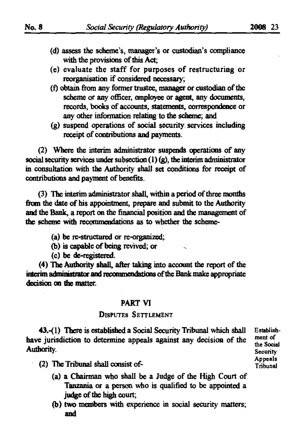- **(d) assess the scheme's, manager's or custodian's compliance with the provisions of this Act,**
- **(e) evaluate the staff for purposes of restructuring or reorganisation if considered necessary;**
- **(f) obtain from any former trustee, manager or custodian of the scheme or any officer, employee or agent, any documents, records, books of accounts, statements, correspondence or any other information relating to the scheme; and**
- **(g) suspend operations of social security services including receipt of contributions and payments.**

(2) **Where the interim administrator suspends operations of any**  social security services under subsection (1) (g), the interim administrator **in consultation with the Authority shall set conditions for receipt of contributions and payment of benefits.** 

(3) **The interim administrator shall, within a period of three months from the date of his appointment, prepare and submit to the Authority and the Bank, a report on die financial position and the management of the scheme with recommendations as to whether the scheme-**

- **fa) be re-structured or re-organized;**
- **(b) is capable of being revived; or**
- **(c) be de-registered.**

**(4) The Authority shall, after taking into account the report of the interim administrator and recommendations ofthe Bank make appropriate decision on the matter.** 

#### **PART VI**

### **DISPUTES SETTLEMENT**

**43,-(l) There is established a Social Security Tribunal which shall Establishhave jurisdiction to determine appeals against any decision of the**  $\frac{\text{ment of}}{\text{the Social}}$ **Authority.**<br>
Security.

**Appeals** 

- **(2) The Tribunal shall consist of- Tribunal** 
	- **(a) a Chairman who shall be a Judge of the High Court of Tanzania or a person who is qualified to be appointed a judge of the high court;**
	- **(b) two members with experience in social security matters; and**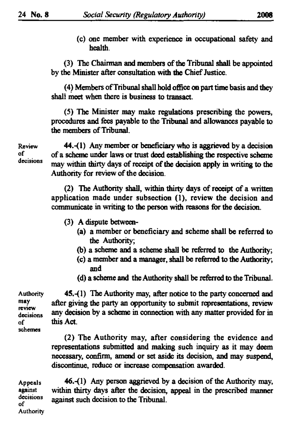**(c) one member with experience in occupational safety and health.** 

**(3) The Chairman and members of the Tribunal shall be appointed by the Minister after consultation with the Chief Justice.** 

**(4) Members of Tribunal shall hold office on part time basis and they shall meet when there is business to transact.** 

**(5) The Minister may make regulations prescribing the powers, procedures and fees payable to the Tribunal and allowances payable to the members of Tribunal.** 

**o f**

**Review** 44. -(1) **Any member or beneficiary who is aggrieved by a decision of a scheme under laws or trust deed establishing the respective scheme**  may within thirty days of receipt of the decision apply in writing to the **Authority for review of the decision.** 

> **(2) The Authority shall, within thirty days of receipt of a written application made under subsection (1), review the decision and communicate in writing to the person with reasons for the decision.**

- **(3) A dispute between-**
	- **(a) a member or beneficiary and scheme shall be referred to the Authority;**
	- **(b) a scheme and a scheme shall be referred to the Authority;**
	- **(c) a member and a manager, shall be referred to the Authority; and**
	- **(d) a scheme and the Authority shall be referred to the Tribunal.**

*m* **schemes** 

**Authority 4S.-(1) The Authority may, after notice to the party concerned and**  <sup>may</sup> after giving the party an opportunity to submit representations, review review **decisions ^ decision by a scheme in connection with any matter provided for in of this Act.** 

> **(2) The Authority may, after considering the evidence and representations submitted and making such inquiry as it may deem necessary, confirm, amend or set aside its decision, and may suspend, discontinue, reduce or increase compensation awarded.**

Appeals **46.-(1)** Any person aggrieved by a decision of the Authority may, **against within thirty days after the decision, appeal in the prescribed manner**  decisions against such decision to the Tribunal. **Authority**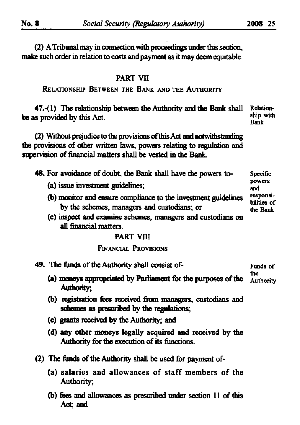(2) **A Tribunal may in connection with proceedings under this section, make such order in relation to costs and payment as it may deem equitable.** 

# **PART VI1**

# **RELATIONSHIP BETWEEN THE BANK AND THE AUTHORITY**

**47.-(l) The relationship between the Authority and the Bank shall Relationbe as provided by this Act.** Ship New York of the state of the state of the state of the state of the state of the state of the state of the state of the state of the state of the state of the state of the state of the st

(2) **Without prejudice to the provisions of this Act and notwitfistandmg the provisions of other written taws, powers relating to regulation and supervision of financial matters shall be vested in the Bank.** 

**48. For avoidance of doubt, the Bank shall have the powers to-**

- **(a) issue investment guidelines;**
- **(b) monitor and ensure compliance to the investment guidelines by the schemes, managers and custodians; or**
- **(c) inspect and examine schemes, managers and custodians on an financial matters.**

#### **PART VIII**

#### **FINANCIAL PROVISIONS**

**49. The funds of the Authority shall consist of- Funds of** 

- **(a) moneys appropriated by Parliament for the purposes ofthe Authority; Authority**
- **(b) registration fees received from managers, custodians and schemes as prescribed by the regulations;**
- **(c) grants received by the Authority; and**
- **(d) any other moneys legally acquired and received by the Authority for the execution of its functions.**
- **(2) The funds of the Authority shall be used for payment of-**
	- **(a) salaries and allowances of staff members of the Authority;**
	- **(b) fees and allowances as prescribed under section II of this Act; and**

**Specific**  powers **and responsibilities of the Bank** 

**the**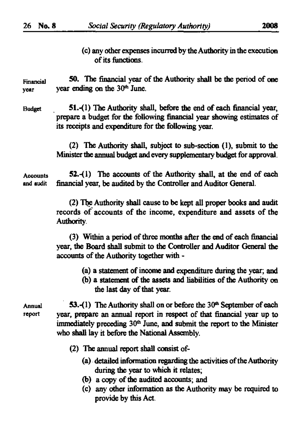**(c) any other expenses incurred by the Authority in the execution of its functions.** 

**Financial** 50. The financial year of the Authority shall be the period of one **year year** ending on the 30<sup>th</sup> June.

**Budget 51.-0) The Authority shall, before the end of each financial year, prepare a budget for the following financial year showing estimates of its receipts and expenditure for the following year.** 

> (2) **The Authority shall, subject to sub-section** (1), **submit to the Minister the annual budget and every supplementary budget for approval**

**Accounts S2.-(l) The accounts of the Authority shall, at the end of each and audit financial year, be audited by the Controller and Auditor General.** 

> (2) **The Authority shall cause to be kept all proper books and audit records of accounts of the income, expenditure and assets of the Authority.**

> (3) **Within a period of three months after the aid of each financial year, the Board shall submit to the Controller and Auditor General the accounts of the Authority together with -**

- **(a) a statement of income and expenditure during the year; and**
- (b) a statement of the assets and liabilities of the Authority on **the last day of that year.**

**Annual 53.-(l) The Authority shall on or before the** 30 \* **September of each report year, prepare an annual report in respect of that financial year up to**  immediately preceding 30<sup>th</sup> June, and submit the report to the Minister **who shall lay it before the National Assembly.** 

- (2) **The annual report shall consist of-**
	- **(a) detailed information regarding the activities of the Authority during the year to which it relates;**
	- **(b) a copy of the audited accounts; and**
	- **(c) any otter information as the Authority may be required to provide by this Act.**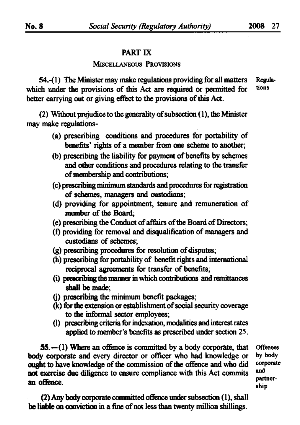# **PART IX**

#### **MISCELLANEOUS PROVISIONS**

54.-(1) The Minister may make regulations providing for all matters Regula-<br>
oh under the provisions of this Act are required or permitted for tions which under the provisions of this Act are required or permitted for **better carrying out or giving effect to the provisions of this Act.** 

(2) **Without prejudice to the generality of subsection (**1**), the Minister may make regulations-**

- **fa) prescribing conditions and procedures for portability of benefits' rights of a member from one scheme to another;**
- **(b) prescribing the liability for payment of benefits by schemes and other conditions and procedures relating to the transfer of membership and contributions;**
- **(c) prescribing minimum standards and procedures for registration of schemes, managers and custodians;**
- **(d) providing for appointment, tenure and remuneration of member of the Board;**
- **(e) prescribing the Conduct of affairs of the Board of Directors;**
- **(f) providing for removal and disqualification of managers and custodians of schemes;**
- **(g) prescribing procedures for resolution of disputes;**
- **(h) prescribing** for **portability of benefit rights and international reciprocal agreements for transfer of benefits;**
- **(i) prescribing the manner in which contributions and remittances shall be made;**
- **(j) prescribing the minimum benefit packages;**
- **(k) for the extension or establishment of social security coverage to the informal sector employees;**
- **(1) prescribing criteria for indexation, modalities and interest rates applied to member's benefits as prescribed under section** 25.

**55.—**(1) **Where an offence is committed by a body corporate, that Offences body corporate and every director or officer who had knowledge or** by body on the structure of the commission of the offence and who did corporate ought to have knowledge of the commission of the offence and who did **not exercise due diligence to ensure compliance with this Act commits** an offence. **- <\* ~ S T** 

 **an d**  partner-

(2) **Any body corporate committed offence under subsection** (1), **shall be liable on conviction in a fine of not less than twenty million shillings.**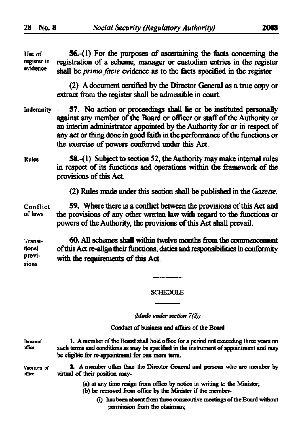| <b>He of</b><br>register in<br>evidence | $56-(1)$ For the purposes of ascertaining the facts concerning the<br>registration of a scheme, manager or custodian entries in the register<br>shall be <i>prima facie</i> evidence as to the facts specified in the register.                                                                                                                             |
|-----------------------------------------|-------------------------------------------------------------------------------------------------------------------------------------------------------------------------------------------------------------------------------------------------------------------------------------------------------------------------------------------------------------|
|                                         | (2) A document certified by the Director General as a true copy or<br>extract from the register shall be admissible in court.                                                                                                                                                                                                                               |
| Indemnity                               | 57. No action or proceedings shall lie or be instituted personally<br>against any member of the Board or officer or staff of the Authority or<br>an interim administrator appointed by the Authority for or in respect of<br>any act or thing done in good faith in the performance of the functions or<br>the exercise of powers conferred under this Act. |
| Rules                                   | 58.-(1) Subject to section 52, the Authority may make internal rules<br>in respect of its functions and operations within the framework of the<br>provisions of this Act.                                                                                                                                                                                   |
|                                         | (2) Rules made under this section shall be published in the Gazette.                                                                                                                                                                                                                                                                                        |
| Conflict<br>of laws                     | 59. Where there is a conflict between the provisions of this Act and<br>the provisions of any other written law with regard to the functions or<br>powers of the Authority, the provisions of this Act shall prevail.                                                                                                                                       |
| Transi-<br>tional<br>provi-<br>sions    | 60. All schemes shall within twelve months from the commencement<br>of this Act re-align their functions, duties and responsibilities in conformity<br>with the requirements of this Act.                                                                                                                                                                   |
|                                         |                                                                                                                                                                                                                                                                                                                                                             |
|                                         | <b>SCHEDULE</b>                                                                                                                                                                                                                                                                                                                                             |

*(Made under section 7(2))* 

**Conduct of business and affairs of the Board** 

Tearre of office 1. A member of the Board shall hold office for a period not exceeding three years on **such terms and conditions as may be specified in the instrument of appointment and may be ehgibk for re-appointment for one more term.** 

Vacation of office **2. A member other than the Director General and persons who are member by virtual of their position may-**

- **fa) at any time resign from office by notice in writing to the Minister,**
- **(b) be removed from office by the Minister if the member-**
	- **(i) has been absent from three consecutive meetings ofthe Board without permission from the chairman;**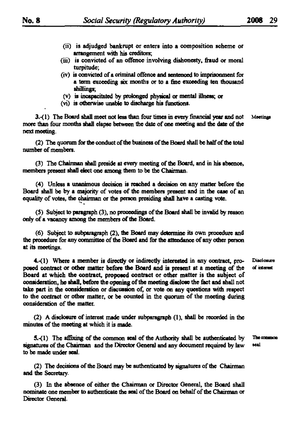- (ii) is adjudged bankrupt or enters into a composition scheme or arrangement with his creditors;
- (iii) is convicted of an offence involving dishonesty, fraud or moral turpitude;
- (iv) is convicted of a criminal offence and sentenced to imprisonment for s term exceeding six months or to a fine exceeding ten thousand shillings;
- (v) is incapacitated by prolonged physical or mental ilbess; or
- (vi) it otherwise unable to discharge his functions.

**3.-(1)** The Board shall meet not less than four times in every financial year and not Meetings more than four months shall elapse between the date of one meeting and the date of the next meeting.

(2) The quorum for the conduct of the business of the Board shall be half of the total number of members.

(3) The Chairman shall preside at every meeting ofthe Board, and in his absence, members present shall elect one among them to be the Chairman.

(4) Unless a unanimous decision is reached a decision on any matter before the Board shall be by a majority of votes of the members present and in the case of an equality of votes, the chairman or the person presiding shall have a casting vote.

**( 5 )** Subject to paragraph (3), no proceedings ofthe Board shall be invalid by reason only of a vacancy among the members of the Board.

**(6)** Subject to subparagraph **(2),** the Board may determine its own procedure and the procedure for any committee of the Board and for the attendance of any other person at its meetings.

4.-(1) Where a member is directly or indirectly interested in any contract, pro- Disclosure of contract or other matter before the Board and is present at a meeting of the of interest posed contract or other matter before the Board and is present at a meeting of the Board at which the contract, proposed contract or other matter *is* the subject of consideration, he shall, before the opening of the meeting disclose the fact and shall not take part in the consideration or discussion of, or vote on any questions with respect to the contract or other matter, or be counted in the quorum of the meeting during consideration of the matter.

**(2)** A disclosure of interest made under subparagraph **(1),** shall be recorded in the minutes of the meeting at which it is made.

5.-(1) The affixing of the common seal of the Authority shall be authenticated by The common signatures of the Chairman and the Director General and any document required by law seal to be made under seal.

**(2)** The decisions ofthe Board may be authenticated by signatures ofthe Chairman and the Secretary.

(3) In the absence of either the Chairman or Director General, the Board shall nominate one member to authenticate the seal of the Board on behalf of the Chairman or Director General.